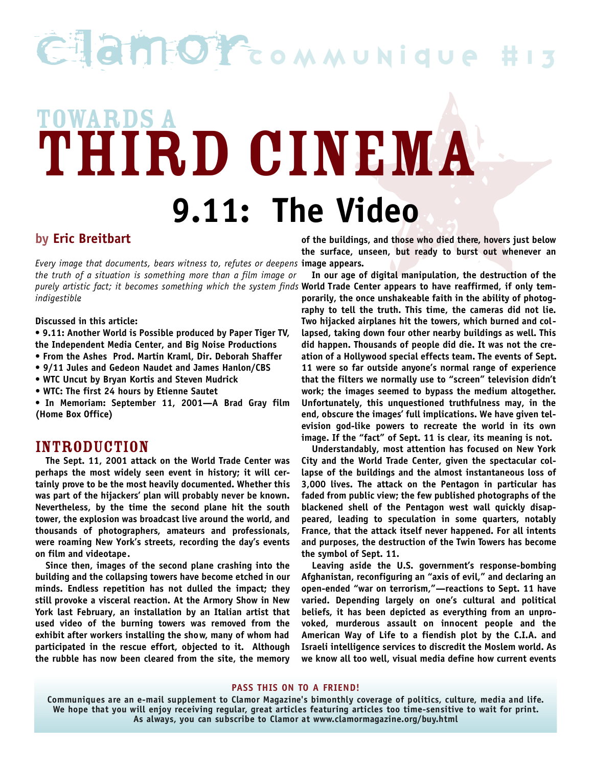## Clam Orcommunique

# Tideo<br>Sings, and those who died there, hovers just below<br>Alings, and those who died there, hovers just below<br>Rings, unseen, but ready to burst out whenever an<br>ge of digital manipulation, the destruction of the **TOWARDS A** TOWARDS A D CINEMA **9.11: The Video**

### **by Eric Breitbart**

*Every image that documents, bears witness to, refutes or deepens* **image appears.** *the truth of a situation is something more than a film image or purely artistic fact; it becomes something which the system finds* **World Trade Center appears to have reaffirmed, if only tem***indigestible.*

#### **Discussed in this article:**

- **9.11: Another World is Possible produced by Paper Tiger TV, the Independent Media Center, and Big Noise Productions**
- **From the Ashes Prod. Martin Kraml, Dir. Deborah Shaffer**
- **9/11 Jules and Gedeon Naudet and James Hanlon/CBS**
- **WTC Uncut by Bryan Kortis and Steven Mudrick**
- **WTC: The first 24 hours by Etienne Sautet**

**• In Memoriam: September 11, 2001—A Brad Gray film (Home Box Office)**

#### INTRODUCTION

**The Sept. 11, 2001 attack on the World Trade Center was perhaps the most widely seen event in history; it will certainly prove to be the most heavily documented. Whether this was part of the hijackers' plan will probably never be known. Nevertheless, by the time the second plane hit the south tower, the explosion was broadcast live around the world, and thousands of photographers, amateurs and professionals, were roaming New York's streets, recording the day's events on film and videotape.**

**Since then, images of the second plane crashing into the building and the collapsing towers have become etched in our minds. Endless repetition has not dulled the impact; they still provoke a visceral reaction. At the Armory Show in New York last February, an installation by an Italian artist that used video of the burning towers was removed from the exhibit after workers installing the show, many of whom had participated in the rescue effort, objected to it. Although the rubble has now been cleared from the site, the memory**

**of the buildings, and those who died there, hovers just below the surface, unseen, but ready to burst out whenever an**

**In our age of digital manipulation, the destruction of the porarily, the once unshakeable faith in the ability of photography to tell the truth. This time, the cameras did not lie. Two hijacked airplanes hit the towers, which burned and collapsed, taking down four other nearby buildings as well. This did happen. Thousands of people did die. It was not the creation of a Hollywood special effects team. The events of Sept. 11 were so far outside anyone's normal range of experience that the filters we normally use to "screen" television didn't work; the images seemed to bypass the medium altogether. Unfortunately, this unquestioned truthfulness may, in the end, obscure the images' full implications. We have given television god-like powers to recreate the world in its own image. If the "fact" of Sept. 11 is clear, its meaning is not.**

**Understandably, most attention has focused on New York City and the World Trade Center, given the spectacular collapse of the buildings and the almost instantaneous loss of 3,000 lives. The attack on the Pentagon in particular has faded from public view; the few published photographs of the blackened shell of the Pentagon west wall quickly disappeared, leading to speculation in some quarters, notably France, that the attack itself never happened. For all intents and purposes, the destruction of the Twin Towers has become the symbol of Sept. 11.**

**Leaving aside the U.S. government's response-bombing Afghanistan, reconfiguring an "axis of evil," and declaring an open-ended "war on terrorism,"—reactions to Sept. 11 have varied. Depending largely on one's cultural and political beliefs, it has been depicted as everything from an unpro**voked, murderous assault on innocent people and the **American Way of Life to a fiendish plot by the C.I.A. and Israeli intelligence services to discredit the Moslem world. As we know all too well, visual media define how current events**

**PASS THIS ON TO A FRIEND!**

Communiques are an e-mail supplement to Clamor Magazine's bimonthly coverage of politics, culture, media and life. We hope that you will enjoy receiving regular, great articles featuring articles too time-sensitive to wait for print. As always, you can subscribe to Clamor at www.clamormagazine.org/buy.html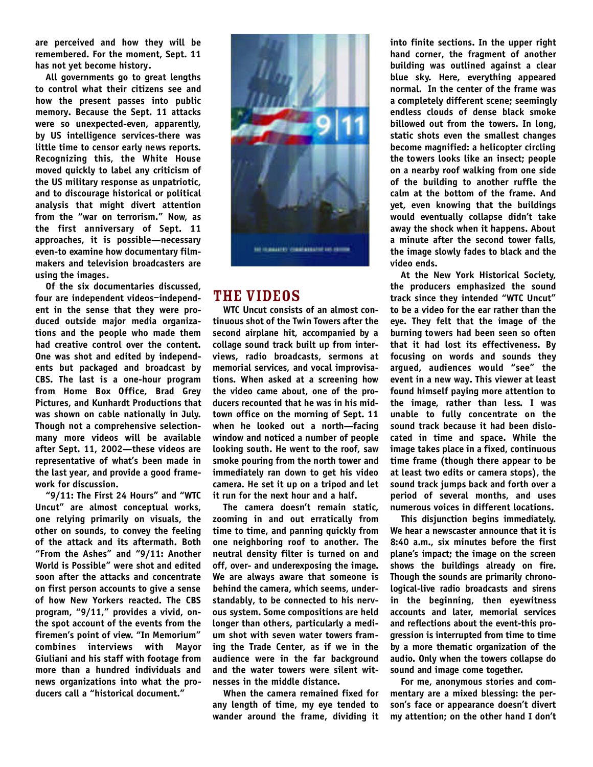**are perceived and how they will be remembered. For the moment, Sept. 11 has not yet become history.**

**All governments go to great lengths to control what their citizens see and how the present passes into public memory. Because the Sept. 11 attacks were so unexpected-even, apparently, by US intelligence services-there was little time to censor early news reports. Recognizing this, the White House moved quickly to label any criticism of the US military response as unpatriotic, and to discourage historical or political analysis that might divert attention from the "war on terrorism." Now, as** the first anniversary of Sept. 11 **approaches, it is possible—necessary even-to examine how documentary filmmakers and television broadcasters are using the images.**

**Of the six documentaries discussed, four are independent videos**—**independent in the sense that they were produced outside major media organizations and the people who made them had creative control over the content. One was shot and edited by independents but packaged and broadcast by CBS. The last is a one-hour program f rom Home Box Office, Brad Grey Pictures, and Kunhardt Productions that was shown on cable nationally in July. Though not a comprehensive selectionmany more videos will be available after Sept. 11, 2002—these videos are representative of what's been made in the last year, and provide a good framework for discussion.**

**"9/11: The First 24 Hours" and "WTC Uncut" are almost conceptual works, one relying primarily on visuals, the other on sounds, to convey the feeling of the attack and its aftermath. Both "From the Ashes" and "9/11: Another World is Possible" were shot and edited soon after the attacks and concentrate on first person accounts to give a sense of how New Yorkers reacted. The CBS program, "9/11," provides a vivid, onthe spot account of the events from the firemen's point of view. "In Memorium" combines** interviews with Mayor **Giuliani and his staff with footage from more than a hundred individuals and news organizations into what the producers call a "historical document."**



## THE VIDEOS

WTC Uncut consists of an almost con**tinuous shot of the Twin Towers after the second airplane hit, accompanied by a collage sound track built up from inter**views, radio broadcasts, sermons at memorial services, and vocal improvisations. When asked at a screening how **the video came about, one of the pro**ducers recounted that he was in his midtown office on the morning of Sept. 11 when he looked out a north-facing window and noticed a number of people looking south. He went to the roof, saw smoke pouring from the north tower and **immediately ran down to get his video** camera. He set it up on a tripod and let **it run for the next hour and a half.**

**The camera doesn't remain static, zooming in and out erratically from time to time, and panning quickly from one neighboring roof to another. The neutral density filter is turned on and off, over- and underexposing the image. We are always aware that someone is behind the camera, which seems, understandably, to be connected to his nervous system. Some compositions are held longer than others, particularly a medium shot with seven water towers framing the Trade Center, as if we in the audience were in the far background and the water towers were silent witnesses in the middle distance.**

**When the camera remained fixed for any length of time, my eye tended to wander around the frame, dividing it** **into finite sections. In the upper right hand corner, the fragment of another building was outlined against a clear blue sky. Here, everything appeared normal. In the center of the frame was a completely different scene; seemingly endless clouds of dense black smoke billowed out from the towers. In long, static shots even the smallest changes become magnified: a helicopter circling the towers looks like an insect; people on a nearby roof walking from one side of the building to another ruffle the calm at the bottom of the frame. And yet, even knowing that the buildings would eventually collapse didn't take away the shock when it happens. About a minute after the second tower falls, the image slowly fades to black and the video ends.**

**At the New York Historical Society, the producers emphasized the sound track since they intended "WTC Uncut" to be a video for the ear rather than the eye. They felt that the image of the burning towers had been seen so often that it had lost its effectiveness. By focusing on words and sounds they a rgued, audiences would "see" the event in a new way. This viewer at least found himself paying more attention to** the image, rather than less. I was **unable to fully concentrate on the sound track because it had been dislocated in time and space. While the image takes place in a fixed, continuous time frame (though there appear to be at least two edits or camera stops), the sound track jumps back and forth over a period of several months, and uses numerous voices in different locations.**

**This disjunction begins immediately. We hear a newscaster announce that it is** 8:40 a.m., six minutes before the first plane's impact; the image on the screen shows the buildings already on fire. Though the sounds are primarily chrono**logical-live radio broadcasts and sirens** in the beginning, then eyewitness **accounts and later, memorial services and reflections about the event-this prog ression is interrupted from time to time by a more thematic organization of the** audio. Only when the towers collapse do **sound and image come together.**

**For me, anonymous stories and commentary are a mixed blessing: the person's face or appearance doesn't divert my attention; on the other hand I don't**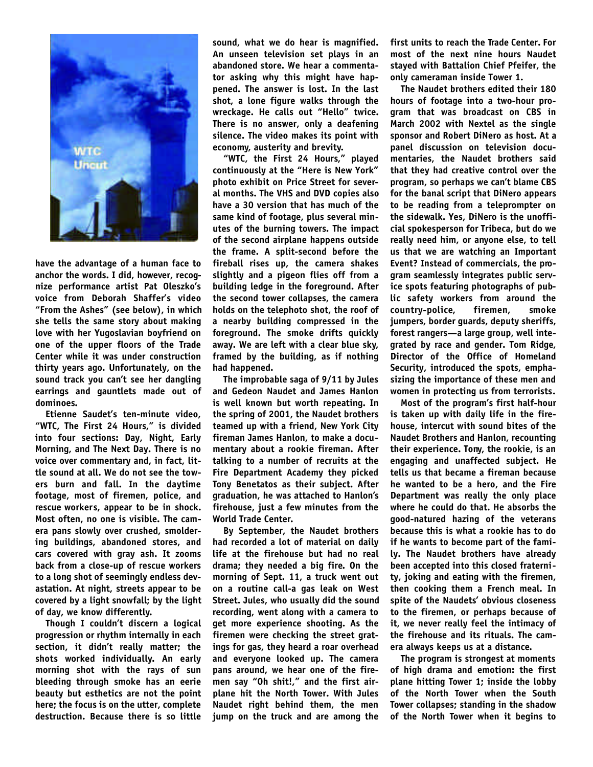

**have the advantage of a human face to anchor the words. I did, however, recognize performance artist Pat Oleszko's voice from Deborah Shaffer's video "From the Ashes" (see below), in which she tells the same story about making love with her Yugoslavian boyfriend on one of the upper floors of the Trade Center while it was under construction thirty years ago. Unfortunately, on the sound track you can't see her dangling earrings and gauntlets made out of dominoes.**

**Etienne Saudet's ten-minute video, "WTC, The First 24 Hours," is divided into four sections: Day, Night, Early Morning, and The Next Day. There is no voice over commentary and, in fact, little sound at all. We do not see the towe rs burn and fall. In the daytime footage, most of firemen, police, and rescue workers, appear to be in shock. Most often, no one is visible. The camera pans slowly over crushed, smoldering buildings, abandoned stores, and cars covered with gray ash. It zooms back from a close-up of rescue workers to a long shot of seemingly endless devastation. At night, streets appear to be covered by a light snowfall; by the light of day, we know differently.**

**Though I couldn't discern a logical progression or rhythm internally in each section, it didn't really matter; the** shots worked individually. An early **morning shot with the rays of sun bleeding through smoke has an eerie beauty but esthetics are not the point here; the focus is on the utter, complete destruction. Because there is so little**

**sound, what we do hear is magnified. An unseen television set plays in an abandoned store. We hear a commentator asking why this might have happened. The answer is lost. In the last shot, a lone figure walks through the wreckage. He calls out "Hello" twice. There is no answer, only a deafening silence. The video makes its point with economy, austerity and brevity.**

**"WTC, the First 24 Hours," played continuously at the "Here is New York" photo exhibit on Price Street for several months. The VHS and DVD copies also have a 30 version that has much of the same kind of footage, plus several minutes of the burning towers. The impact of the second airplane happens outside the frame. A split-second before the fireball rises up, the camera shakes slightly and a pigeon flies off from a building ledge in the foreground. After the second tower collapses, the camera holds on the telephoto shot, the roof of a nearby building compressed in the foreground. The smoke drifts quickly away. We are left with a clear blue sky, framed by the building, as if nothing had happened.**

**The improbable saga of 9/11 by Jules and Gedeon Naudet and James Hanlon is well known but worth repeating. In the spring of 2001, the Naudet brothers teamed up with a friend, New York City fireman James Hanlon, to make a documentary about a rookie fireman. After talking to a number of recruits at the Fire Department Academy they picked Tony Benetatos as their subject. After graduation, he was attached to Hanlon's firehouse, just a few minutes from the World Trade Center.**

**By September, the Naudet brothers had recorded a lot of material on daily life at the firehouse but had no real drama; they needed a big fire. On the morning of Sept. 11, a truck went out on a routine call-a gas leak on West Street. Jules, who usually did the sound recording, went along with a camera to get more experience shooting. As the firemen were checking the street gratings for gas, they heard a roar overhead and everyone looked up. The camera pans around, we hear one of the firemen say "Oh shit!," and the first airplane hit the North Tower. With Jules Naudet right behind them, the men jump on the truck and are among the**

**first units to reach the Trade Center. For most of the next nine hours Naudet stayed with Battalion Chief Pfeifer, the only cameraman inside Tower 1.**

**The Naudet brothers edited their 180 hours of footage into a two-hour program that was broadcast on CBS in March 2002 with Nextel as the single sponsor and Robert DiNero as host. At a panel discussion on television documentaries, the Naudet brothers said that they had creative control over the program, so perhaps we can't blame CBS for the banal script that DiNero appears to be reading from a teleprompter on the sidewalk. Yes, DiNero is the unofficial spokesperson for Tribeca, but do we really need him, or anyone else, to tell us that we are watching an Important Event? Instead of commercials, the program seamlessly integrates public service spots featuring photographs of pub**lic safety workers from around the country-police, firemen, smoke **jumpers, border guards, deputy sheriffs, forest rangers—a large group, well integrated by race and gender. Tom Ridge, Director of the Office of Homeland Security, introduced the spots, emphasizing the importance of these men and women in protecting us from terrorists.**

**Most of the program's first half-hour is taken up with daily life in the firehouse, intercut with sound bites of the Naudet Brothers and Hanlon, recounting their experience. Tony, the rookie, is an engaging and unaffected subject. He tells us that became a fireman because he wanted to be a hero, and the Fire Department was really the only place where he could do that. He absorbs the good-natured hazing of the veterans because this is what a rookie has to do if he wants to become part of the family. The Naudet brothers have already been accepted into this closed fraternity, joking and eating with the firemen, then cooking them a French meal. In spite of the Naudets' obvious closeness to the firemen, or perhaps because of it, we never really feel the intimacy of the firehouse and its rituals. The camera always keeps us at a distance.**

**The program is strongest at moments of high drama and emotion: the first plane hitting Tower 1; inside the lobby of the North Tower when the South Tower collapses; standing in the shadow of the North Tower when it begins to**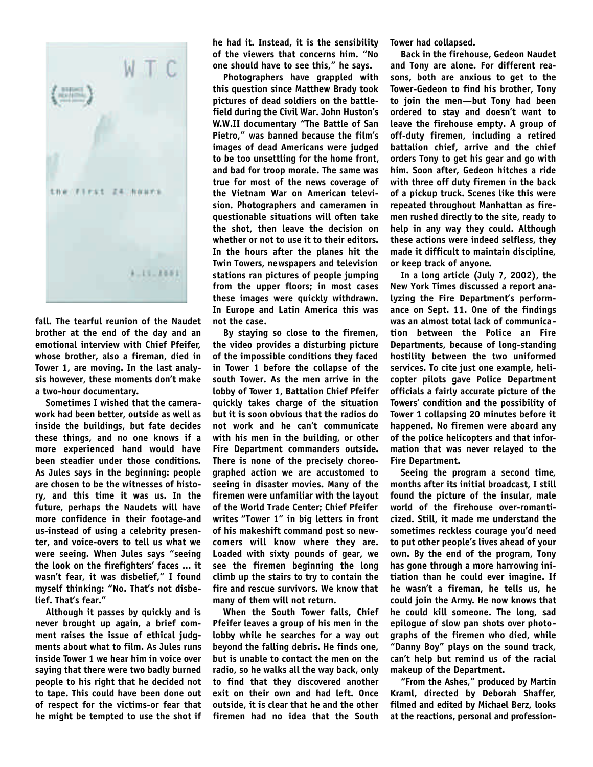

**fall. The tearful reunion of the Naudet brother at the end of the day and an emotional interview with Chief Pfeifer, whose brother, also a fireman, died in Tower 1, are moving. In the last analysis however, these moments don't make a two-hour documentary.**

**Sometimes I wished that the camerawork had been better, outside as well as inside the buildings, but fate decides these things, and no one knows if a m o re experienced hand would have been steadier under those conditions. As Jules says in the beginning: people are chosen to be the witnesses of history, and this time it was us. In the future, perhaps the Naudets will have more confidence in their footage-and us-instead of using a celebrity presenter, and voice-overs to tell us what we were seeing. When Jules says "seeing the look on the firefighters' faces ... it wasn't fear, it was disbelief," I found myself thinking: "No. That's not disbelief. That's fear."**

**Although it passes by quickly and is never brought up again, a brief comment raises the issue of ethical judgments about what to film. As Jules runs inside Tower 1 we hear him in voice over saying that there were two badly burned people to his right that he decided not to tape. This could have been done out of respect for the victims-or fear that he might be tempted to use the shot if** **he had it. Instead, it is the sensibility of the viewers that concerns him. "No one should have to see this," he says.**

**Photographers have grappled with this question since Matthew Brady took pictures of dead soldiers on the battlefield during the Civil War. John Huston's W.W.II documentary "The Battle of San Pietro," was banned because the film's images of dead Americans were judged to be too unsettling for the home front, and bad for troop morale. The same was true for most of the news coverage of the Vietnam War on American television. Photographers and cameramen in questionable situations will often take the shot, then leave the decision on whether or not to use it to their editors. In the hours after the planes hit the Twin Towers, newspapers and television stations ran pictures of people jumping from the upper floors; in most cases these images were quickly withdrawn. In Europe and Latin America this was not the case.**

**By staying so close to the firemen, the video provides a disturbing picture of the impossible conditions they faced in Tower 1 before the collapse of the south Tower. As the men arrive in the lobby of Tower 1, Battalion Chief Pfeifer quickly takes charge of the situation but it is soon obvious that the radios do not work and he can't communicate with his men in the building, or other Fire Department commanders outside. There is none of the precisely choreographed action we are accustomed to seeing in disaster movies. Many of the firemen were unfamiliar with the layout of the World Trade Center; Chief Pfeifer writes "Tower 1" in big letters in front of his makeshift command post so new**comers will know where they are. **Loaded with sixty pounds of gear, we see the firemen beginning the long climb up the stairs to try to contain the fire and rescue survivors. We know that many of them will not return.**

**When the South Tower falls, Chief Pfeifer leaves a group of his men in the lobby while he searches for a way out beyond the falling debris. He finds one, but is unable to contact the men on the radio, so he walks all the way back, only to find that they discovered another exit on their own and had left. Once outside, it is clear that he and the other firemen had no idea that the South**

**Tower had collapsed.**

**Back in the firehouse, Gedeon Naudet and Tony are alone. For different reasons, both are anxious to get to the Tower-Gedeon to find his brother, Tony to join the men—but Tony had been ordered to stay and doesn't want to leave the firehouse empty. A group of off-duty firemen, including a retired battalion chief, arrive and the chief orders Tony to get his gear and go with him. Soon after, Gedeon hitches a ride with three off duty firemen in the back of a pickup truck. Scenes like this were repeated throughout Manhattan as firemen rushed directly to the site, ready to help in any way they could. Although these actions were indeed selfless, they made it difficult to maintain discipline, or keep track of anyone.**

**In a long article (July 7, 2002), the New York Times discussed a report analyzing the Fire Department's performance on Sept. 11. One of the findings was an almost total lack of communication between the Police an Fire Departments, because of long-standing hostility between the two uniformed services. To cite just one example, helicopter pilots gave Police Department officials a fairly accurate picture of the Towers' condition and the possibility of Tower 1 collapsing 20 minutes before it happened. No firemen were aboard any of the police helicopters and that information that was never relayed to the Fire Department.**

**Seeing the program a second time, months after its initial broadcast, I still found the picture of the insular, male world of the firehouse over-romanticized. Still, it made me understand the sometimes reckless courage you'd need to put other people's lives ahead of your own. By the end of the program, Tony has gone through a more harrowing initiation than he could ever imagine. If he wasn't a fireman, he tells us, he could join the Army. He now knows that he could kill someone. The long, sad epilogue of slow pan shots over photographs of the firemen who died, while "Danny Boy" plays on the sound track, can't help but remind us of the racial makeup of the Department.**

"From the Ashes," produced by Martin **K raml, directed by Deborah Shaffer, filmed and edited by Michael Berz, looks** at the reactions, personal and profession-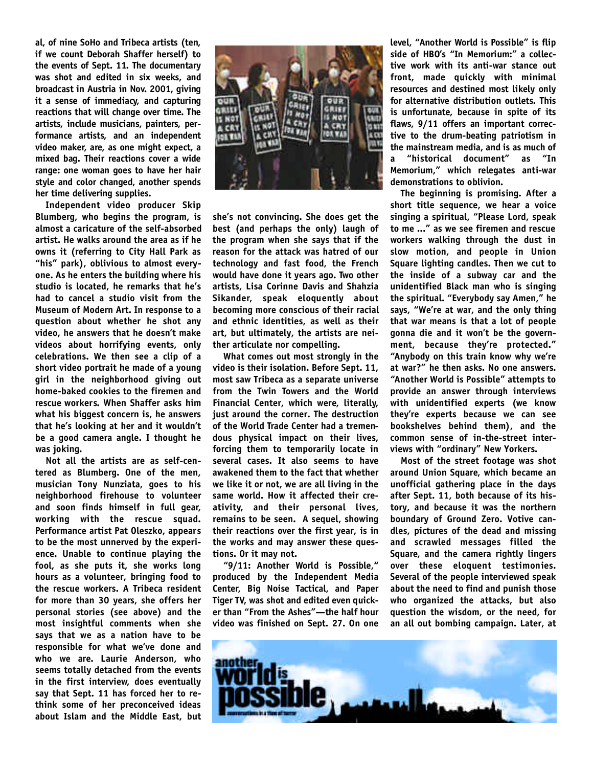**al, of nine SoHo and Tribeca artists (ten, if we count Deborah Shaffer herself) to the events of Sept. 11. The documentary** was shot and edited in six weeks, and **b roadcast in Austria in Nov. 2001, giving it a sense of immediacy, and capturing reactions that will change over time. The** artists, include musicians, painters, per**formance artists, and an independent** video maker, are, as one might expect, a mixed bag. Their reactions cover a wide **range: one woman goes to have her hair style and color changed, another spends her time delivering supplies.**

**Independent video producer Skip Blumberg, who begins the program, is almost a caricature of the self-absorbed artist. He walks around the area as if he owns it (referring to City Hall Park as "his" park), oblivious to almost everyone. As he enters the building where his studio is located, he remarks that he's had to cancel a studio visit from the Museum of Modern Art. In response to a question about whether he shot any video, he answers that he doesn't make videos about horrifying events, only celebrations. We then see a clip of a short video portrait he made of a young girl in the neighborhood giving out home-baked cookies to the firemen and rescue workers. When Shaffer asks him what his biggest concern is, he answers that he's looking at her and it wouldn't be a good camera angle. I thought he was joking.**

**Not all the artists are as self-centered as Blumberg. One of the men, musician Tony Nunziata, goes to his** neighborhood firehouse to volunteer **and soon finds himself in full gear, working with the rescue squad. Performance artist Pat Oleszko, appears to be the most unnerved by the experience. Unable to continue playing the fool, as she puts it, she works long hours as a volunteer, bringing food to the rescue workers. A Tribeca resident for more than 30 years, she offers her personal stories (see above) and the most insightful comments when she says that we as a nation have to be responsible for what we've done and who we are. Laurie Anderson, who seems totally detached from the events in the first interview, does eventually say that Sept. 11 has forced her to rethink some of her preconceived ideas about Islam and the Middle East, but**



**she's not convincing. She does get the best (and perhaps the only) laugh of the program when she says that if the reason for the attack was hatred of our technology and fast food, the French would have done it years ago. Two other artists, Lisa Corinne Davis and Shahzia** Sikander, speak eloquently about **becoming more conscious of their racial and ethnic identities, as well as their art, but ultimately, the artists are neither articulate nor compelling.**

**What comes out most strongly in the video is their isolation. Before Sept. 11, most saw Tribeca as a separate universe from the Twin Towers and the World Financial Center, which were, literally, just around the corner. The destruction of the World Trade Center had a tremendous physical impact on their lives, forcing them to temporarily locate in several cases. It also seems to have awakened them to the fact that whether we like it or not, we are all living in the same world. How it affected their cre**ativity, and their personal lives, **remains to be seen. A sequel, showing their reactions over the first year, is in the works and may answer these questions. Or it may not.**

"9/11: Another World is Possible," **p roduced by the Independent Media Center, Big Noise Tactical, and Paper Tiger TV, was shot and edited even quicker than "From the Ashes"—the half hour video was finished on Sept. 27. On one** **l evel, "Another World is Possible" is flip side of HBO's "In Memorium:" a collec**tive work with its anti-war stance out **f ront, made quickly with minimal** resources and destined most likely only **for alternative distribution outlets. This** is unfortunate, because in spite of its flaws, 9/11 offers an important corrective to the drum-beating patriotism in **the mainstream media, and is as much of a "historical document" as "In** Memorium," which relegates anti-war demonstrations to oblivion.

**The beginning is promising. After a short title sequence, we hear a voice singing a spiritual, "Please Lord, speak to me ..." as we see firemen and rescue workers walking through the dust in s l ow motion, and people in Union Square lighting candles. Then we cut to the inside of a subway car and the unidentified Black man who is singing the spiritual. "Everybody say Amen," he says, "We're at war, and the only thing that war means is that a lot of people gonna die and it won't be the govern**ment, because they're protected." **"Anybody on this train know why we're at war?" he then asks. No one answers. "Another World is Possible" attempts to provide an answer through interviews with unidentified experts (we know they're experts because we can see** bookshelves behind them), and the **common sense of in-the-street interviews with "ordinary" New Yorkers.**

**Most of the street footage was shot around Union Square, which became an unofficial gathering place in the days after Sept. 11, both because of its history, and because it was the northern boundary of Ground Zero. Votive candles, pictures of the dead and missing and scrawled messages filled the Square, and the camera rightly lingers over these eloquent testimonies. Several of the people interviewed speak about the need to find and punish those who organized the attacks, but also question the wisdom, or the need, for an all out bombing campaign. Later, at**

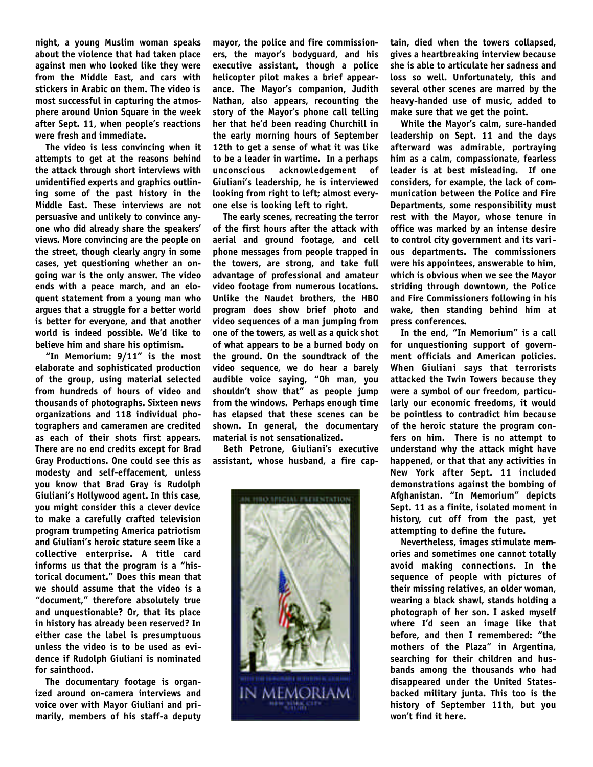**night, a young Muslim woman speaks about the violence that had taken place against men who looked like they were from the Middle East, and cars with stickers in Arabic on them. The video is most successful in capturing the atmosphere around Union Square in the week after Sept. 11, when people's reactions were fresh and immediate.**

**The video is less convincing when it attempts to get at the reasons behind the attack through short interviews with unidentified experts and graphics outlining some of the past history in the Middle East. These interviews are not** persuasive and unlikely to convince anyone who did already share the speakers' views. More convincing are the people on **the street, though clearly angry in some** cases, yet questioning whether an ongoing war is the only answer. The video **ends with a peace march, and an eloquent statement from a young man who** arques that a struggle for a better world is better for everyone, and that another **world is indeed possible. We'd like to** believe him and share his optimism.

**"In Memorium: 9/11" is the most elaborate and sophisticated production of the group, using material selected from hundreds of hours of video and thousands of photographs. Sixteen news organizations and 118 individual photographers and cameramen are credited as each of their shots first appears. There are no end credits except for Brad Gray Productions. One could see this as modesty and self-effacement, unless you know that Brad Gray is Rudolph Giuliani's Hollywood agent. In this case, you might consider this a clever device to make a carefully crafted television program trumpeting America patriotism and Giuliani's heroic stature seem like a** collective enterprise. A title card **informs us that the program is a "historical document." Does this mean that we should assume that the video is a "document," therefore absolutely true and unquestionable? Or, that its place in history has already been reserved? In either case the label is presumptuous unless the video is to be used as evidence if Rudolph Giuliani is nominated for sainthood.**

**The documentary footage is organized around on-camera interviews and voice over with Mayor Giuliani and primarily, members of his staff-a deputy**

**mayor, the police and fire commissioners, the mayor's bodyguard, and his executive assistant, though a police helicopter pilot makes a brief appearance. The Mayor's companion, Judith Nathan, also appears, recounting the story of the Mayor's phone call telling her that he'd been reading Churchill in the early morning hours of September 12th to get a sense of what it was like to be a leader in wartime. In a perhaps unconscious acknowledgement of Giuliani's leadership, he is interviewed looking from right to left; almost everyone else is looking left to right.**

The early scenes, recreating the terror **of the first hours after the attack with** aerial and ground footage, and cell **phone messages from people trapped in** the towers, are strong, and take full **a d vantage of professional and amateur video footage from numerous locations. Unlike the Naudet brothers, the HBO** program does show brief photo and video sequences of a man jumping from **one of the towe rs, as well as a quick shot of what appears to be a burned body on the ground. On the soundtrack of the** video sequence, we do hear a barely audible voice saying, "Oh man, you **shouldn't show that" as people jump** from the windows. Perhaps enough time **has elapsed that these scenes can be** shown. In general, the documentary **material is not sensationalized.**

**Beth Petrone, Giuliani's executive assistant, whose husband, a fire cap-**



**tain, died when the towers collapsed, gives a heartbreaking interview because she is able to articulate her sadness and loss so well. Unfortunately, this and several other scenes are marred by the heavy-handed use of music, added to make sure that we get the point.**

**While the Mayor's calm, sure-handed leadership on Sept. 11 and the days** afterward was admirable, portraying **him as a calm, compassionate, fearless leader is at best misleading. If one considers, for example, the lack of communication between the Police and Fire Departments, some responsibility must rest with the Mayor, whose tenure in office was marked by an intense desire to control city government and its various departments. The commissioners were his appointees, answerable to him, which is obvious when we see the Mayor striding through downtown, the Police and Fire Commissioners following in his wake, then standing behind him at press conferences.**

**In the end, "In Memorium" is a call for unquestioning support of government officials and American policies. When Giuliani says that terrorists attacked the Twin Towers because they were a symbol of our freedom, particularly our economic freedoms, it would be pointless to contradict him because of the heroic stature the program confers on him. There is no attempt to understand why the attack might have happened, or that that any activities in N ew York after Sept. 11 included demonstrations against the bombing of A fghanistan. "In Memorium" depicts Sept. 11 as a finite, isolated moment in** history, cut off from the past, yet **attempting to define the future.**

**Nevertheless, images stimulate memories and sometimes one cannot totally a void making connections. In the sequence of people with pictures of their missing relatives, an older woman, wearing a black shawl, stands holding a photograph of her son. I asked myself** where I'd seen an image like that **before, and then I remembered: "the mothers of the Plaza" in Argentina, searching for their children and husbands among the thousands who had disappeared under the United Statesbacked military junta. This too is the history of September 11th, but you won't find it here.**